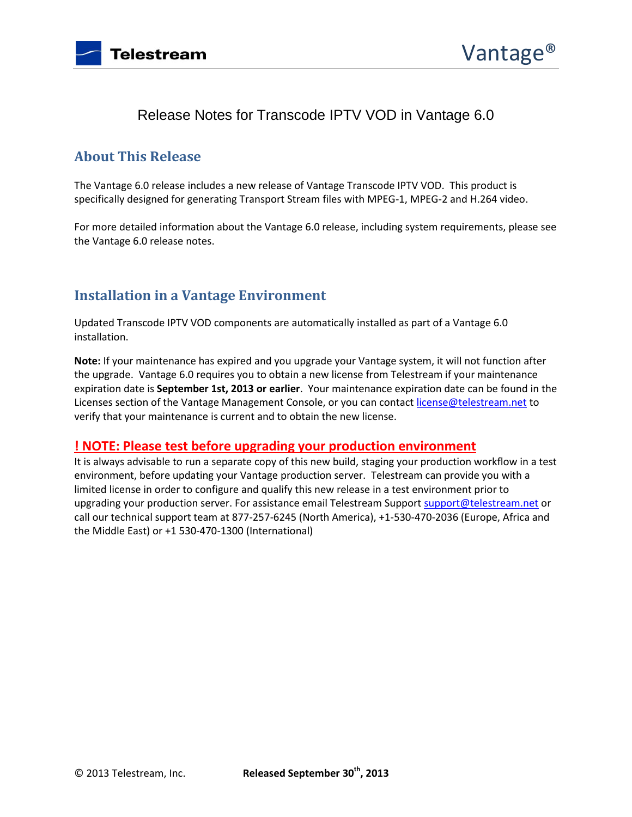

# Release Notes for Transcode IPTV VOD in Vantage 6.0

## **About This Release**

The Vantage 6.0 release includes a new release of Vantage Transcode IPTV VOD. This product is specifically designed for generating Transport Stream files with MPEG-1, MPEG-2 and H.264 video.

For more detailed information about the Vantage 6.0 release, including system requirements, please see the Vantage 6.0 release notes.

### **Installation in a Vantage Environment**

Updated Transcode IPTV VOD components are automatically installed as part of a Vantage 6.0 installation.

**Note:** If your maintenance has expired and you upgrade your Vantage system, it will not function after the upgrade. Vantage 6.0 requires you to obtain a new license from Telestream if your maintenance expiration date is **September 1st, 2013 or earlier**. Your maintenance expiration date can be found in the Licenses section of the Vantage Management Console, or you can contac[t license@telestream.net](mailto:license@telestream.net) to verify that your maintenance is current and to obtain the new license.

#### **! NOTE: Please test before upgrading your production environment**

It is always advisable to run a separate copy of this new build, staging your production workflow in a test environment, before updating your Vantage production server. Telestream can provide you with a limited license in order to configure and qualify this new release in a test environment prior to upgrading your production server. For assistance email Telestream Suppor[t support@telestream.net](mailto:support@telestream.net) or call our technical support team at 877-257-6245 (North America), +1-530-470-2036 (Europe, Africa and the Middle East) or +1 530-470-1300 (International)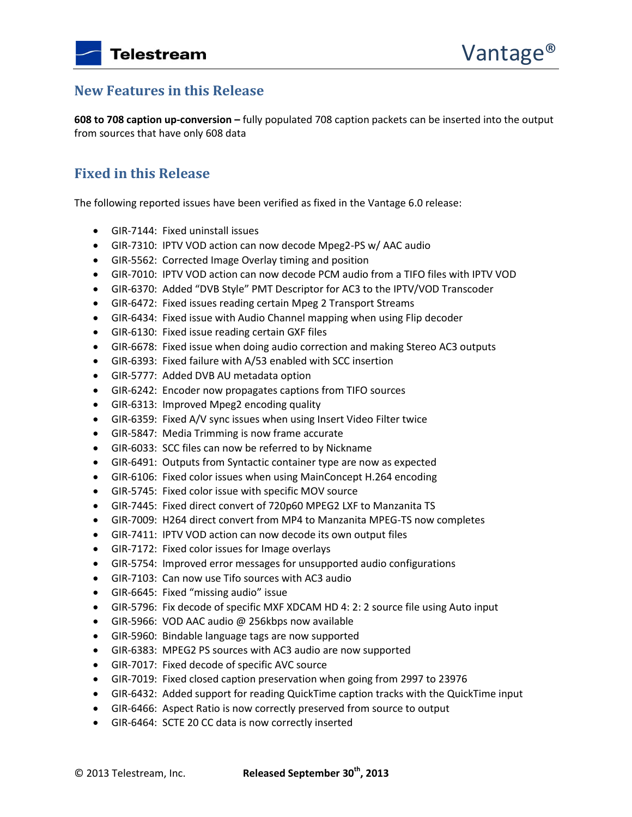## **New Features in this Release**

**608 to 708 caption up-conversion –** fully populated 708 caption packets can be inserted into the output from sources that have only 608 data

## **Fixed in this Release**

The following reported issues have been verified as fixed in the Vantage 6.0 release:

- GIR-7144: Fixed uninstall issues
- GIR-7310: IPTV VOD action can now decode Mpeg2-PS w/ AAC audio
- GIR-5562: Corrected Image Overlay timing and position
- GIR-7010: IPTV VOD action can now decode PCM audio from a TIFO files with IPTV VOD
- GIR-6370: Added "DVB Style" PMT Descriptor for AC3 to the IPTV/VOD Transcoder
- GIR-6472: Fixed issues reading certain Mpeg 2 Transport Streams
- GIR-6434: Fixed issue with Audio Channel mapping when using Flip decoder
- GIR-6130: Fixed issue reading certain GXF files
- GIR-6678: Fixed issue when doing audio correction and making Stereo AC3 outputs
- GIR-6393: Fixed failure with A/53 enabled with SCC insertion
- GIR-5777: Added DVB AU metadata option
- GIR-6242: Encoder now propagates captions from TIFO sources
- GIR-6313: Improved Mpeg2 encoding quality
- GIR-6359: Fixed A/V sync issues when using Insert Video Filter twice
- GIR-5847: Media Trimming is now frame accurate
- GIR-6033: SCC files can now be referred to by Nickname
- GIR-6491: Outputs from Syntactic container type are now as expected
- GIR-6106: Fixed color issues when using MainConcept H.264 encoding
- GIR-5745: Fixed color issue with specific MOV source
- GIR-7445: Fixed direct convert of 720p60 MPEG2 LXF to Manzanita TS
- GIR-7009: H264 direct convert from MP4 to Manzanita MPEG-TS now completes
- GIR-7411: IPTV VOD action can now decode its own output files
- GIR-7172: Fixed color issues for Image overlays
- GIR-5754: Improved error messages for unsupported audio configurations
- GIR-7103: Can now use Tifo sources with AC3 audio
- GIR-6645: Fixed "missing audio" issue
- GIR-5796: Fix decode of specific MXF XDCAM HD 4: 2: 2 source file using Auto input
- GIR-5966: VOD AAC audio @ 256kbps now available
- GIR-5960: Bindable language tags are now supported
- GIR-6383: MPEG2 PS sources with AC3 audio are now supported
- GIR-7017: Fixed decode of specific AVC source
- GIR-7019: Fixed closed caption preservation when going from 2997 to 23976
- GIR-6432: Added support for reading QuickTime caption tracks with the QuickTime input
- GIR-6466: Aspect Ratio is now correctly preserved from source to output
- GIR-6464: SCTE 20 CC data is now correctly inserted